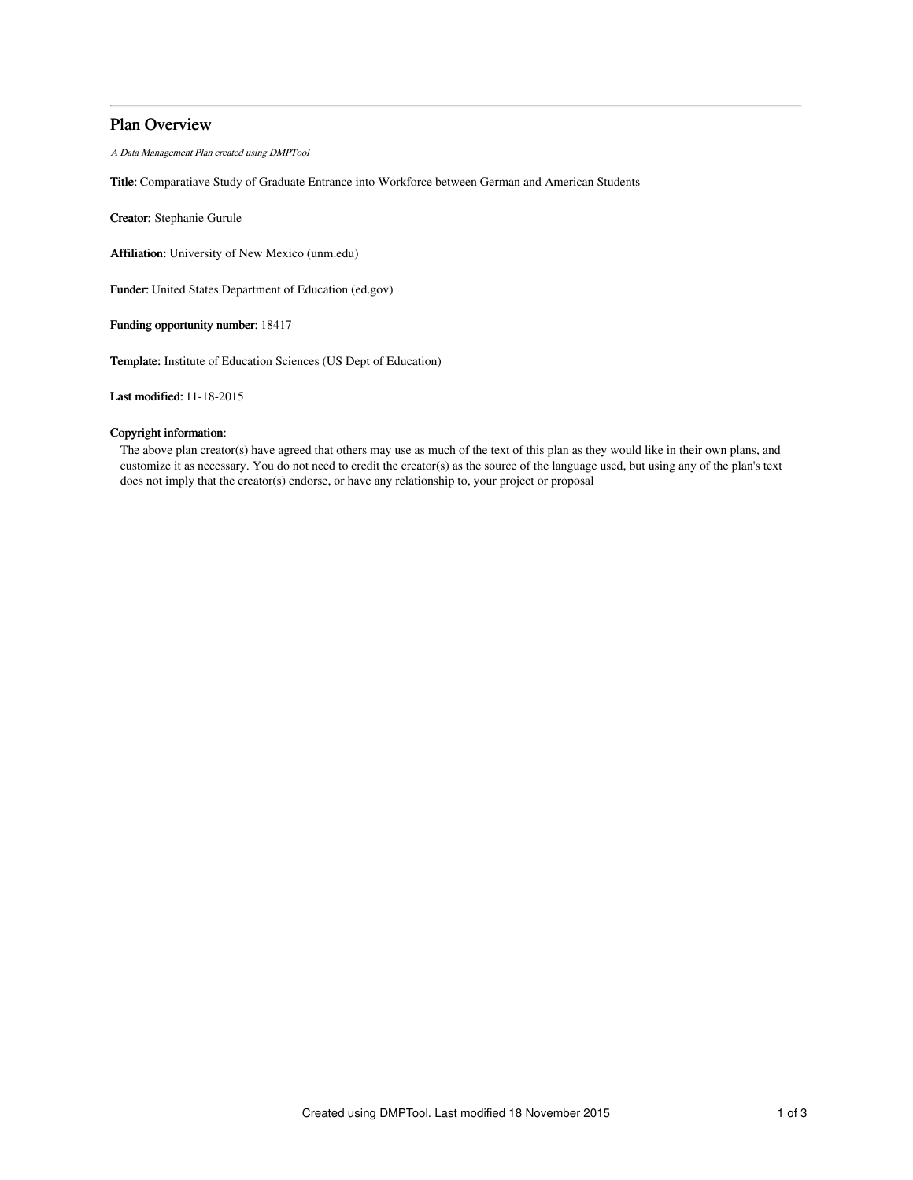# Plan Overview

A Data Management Plan created using DMPTool

Title: Comparatiave Study of Graduate Entrance into Workforce between German and American Students

Creator: Stephanie Gurule

Affiliation: University of New Mexico (unm.edu)

Funder: United States Department of Education (ed.gov)

Funding opportunity number: 18417

Template: Institute of Education Sciences (US Dept of Education)

Last modified: 11-18-2015

# Copyright information:

The above plan creator(s) have agreed that others may use as much of the text of this plan as they would like in their own plans, and customize it as necessary. You do not need to credit the creator(s) as the source of the language used, but using any of the plan's text does not imply that the creator(s) endorse, or have any relationship to, your project or proposal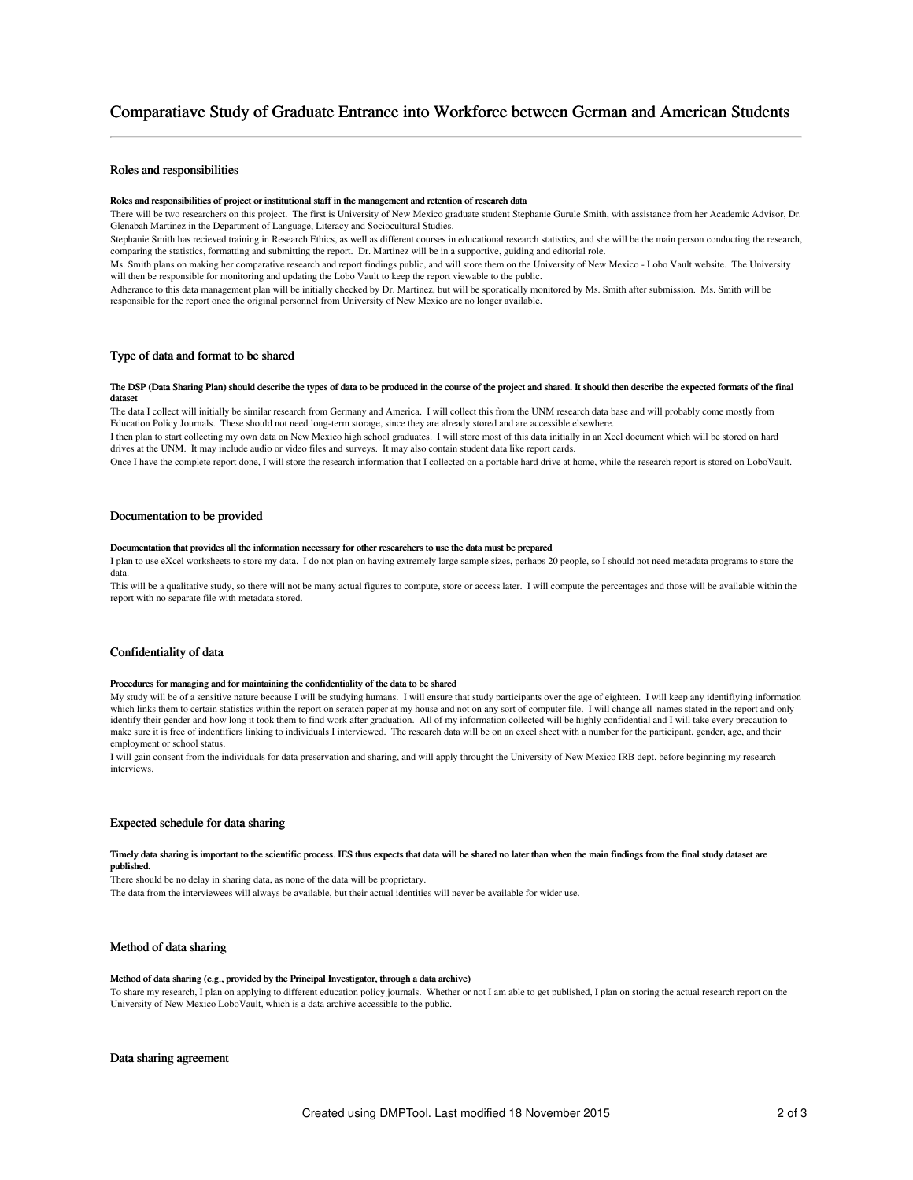# Comparatiave Study of Graduate Entrance into Workforce between German and American Students

# Roles and responsibilities

#### Roles and responsibilities of project or institutional staff in the management and retention of research data

There will be two researchers on this project. The first is University of New Mexico graduate student Stephanie Gurule Smith, with assistance from her Academic Advisor, Dr. Glenabah Martinez in the Department of Language, Literacy and Sociocultural Studies.

Stephanie Smith has recieved training in Research Ethics, as well as different courses in educational research statistics, and she will be the main person conducting the research, comparing the statistics, formatting and submitting the report. Dr. Martinez will be in a supportive, guiding and editorial role.

Ms. Smith plans on making her comparative research and report findings public, and will store them on the University of New Mexico - Lobo Vault website. The University will then be responsible for monitoring and updating the Lobo Vault to keep the report viewable to the public.

Adherance to this data management plan will be initially checked by Dr. Martinez, but will be sporatically monitored by Ms. Smith after submission. Ms. Smith will be responsible for the report once the original personnel from University of New Mexico are no longer available.

# Type of data and format to be shared

#### The DSP (Data Sharing Plan) should describe the types of data to be produced in the course of the project and shared. It should then describe the expected formats of the final dataset

The data I collect will initially be similar research from Germany and America. I will collect this from the UNM research data base and will probably come mostly from Education Policy Journals. These should not need long-term storage, since they are already stored and are accessible elsewhere.

I then plan to start collecting my own data on New Mexico high school graduates. I will store most of this data initially in an Xcel document which will be stored on hard drives at the UNM. It may include audio or video files and surveys. It may also contain student data like report cards.

Once I have the complete report done, I will store the research information that I collected on a portable hard drive at home, while the research report is stored on LoboVault.

# Documentation to be provided

#### Documentation that provides all the information necessary for other researchers to use the data must be prepared

I plan to use eXcel worksheets to store my data. I do not plan on having extremely large sample sizes, perhaps 20 people, so I should not need metadata programs to store the data.

This will be a qualitative study, so there will not be many actual figures to compute, store or access later. I will compute the percentages and those will be available within the report with no separate file with metadata stored.

## Confidentiality of data

#### Procedures for managing and for maintaining the confidentiality of the data to be shared

My study will be of a sensitive nature because I will be studying humans. I will ensure that study participants over the age of eighteen. I will keep any identifiying information which links them to certain statistics within the report on scratch paper at my house and not on any sort of computer file. I will change all names stated in the report and only identify their gender and how long it took them to find work after graduation. All of my information collected will be highly confidential and I will take every precaution to make sure it is free of indentifiers linking to individuals I interviewed. The research data will be on an excel sheet with a number for the participant, gender, age, and their employment or school status.

I will gain consent from the individuals for data preservation and sharing, and will apply throught the University of New Mexico IRB dept. before beginning my research interviews.

# Expected schedule for data sharing

#### Timely data sharing is important to the scientific process. IES thus expects that data will be shared no later than when the main findings from the final study dataset are published.

There should be no delay in sharing data, as none of the data will be proprietary. The data from the interviewees will always be available, but their actual identities will never be available for wider use.

### Method of data sharing

#### Method of data sharing (e.g., provided by the Principal Investigator, through a data archive)

To share my research, I plan on applying to different education policy journals. Whether or not I am able to get published, I plan on storing the actual research report on the University of New Mexico LoboVault, which is a data archive accessible to the public.

# Data sharing agreement